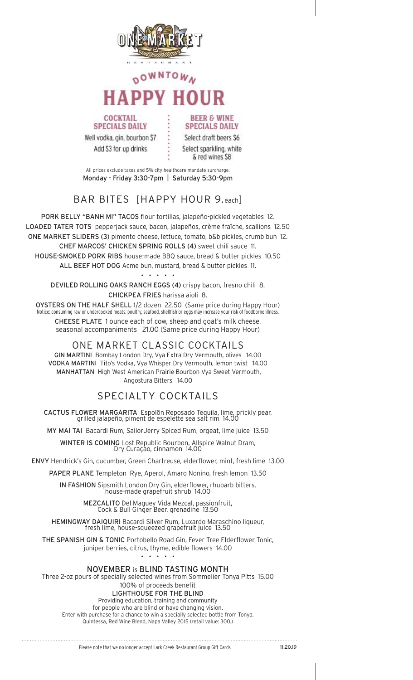

# OWNTOWA **HAPPV HOUR**

**SPECIALS DAILY** Well vodka, gin, bourbon \$7 Add \$3 for up drinks

**COCKTAIL** 

**SPECIALS DAILY** Select draft beers \$6 Select sparkling, white & red wines \$8

**BEER & WINE** 

All prices exclude taxes and 5% city healthcare mandate surcharge. Monday - Friday 3:30-7pm | Saturday 5:30-9pm

### BAR BITES [HAPPY HOUR 9.each]

PORK BELLY "BANH MI" TACOS flour tortillas, jalapeño-pickled vegetables 12. LOADED TATER TOTS pepperjack sauce, bacon, jalapeños, crème fraîche, scallions 12.50 ONE MARKET SLIDERS (3) pimento cheese, lettuce, tomato, b&b pickles, crumb bun 12. CHEF MARCOS' CHICKEN SPRING ROLLS (4) sweet chili sauce 11. HOUSE-SMOKED PORK RIBS house-made BBQ sauce, bread & butter pickles 10.50 ALL BEEF HOT DOG Acme bun, mustard, bread & butter pickles 11. . . . . .

DEVILED ROLLING OAKS RANCH EGGS (4) crispy bacon, fresno chili 8. CHICKPEA FRIES harissa aioli 8.

OYSTERS ON THE HALF SHELL 1/2 dozen 22.50 (Same price during Happy Hour) Notice: consuming raw or undercooked meats, poultry, seafood, shellfish or eggs may increase your risk of foodborne illness. CHEESE PLATE 1 ounce each of cow, sheep and goat's milk cheese, seasonal accompaniments 21.00 (Same price during Happy Hour)

ONE MARKET CLASSIC COCKTAILS GIN MARTINI Bombay London Dry, Vya Extra Dry Vermouth, olives 14.00 VODKA MARTINI Tito's Vodka, Vya Whisper Dry Vermouth, lemon twist 14.00 MANHATTAN High West American Prairie Bourbon Vya Sweet Vermouth, Angostura Bitters 14.00

## SPECIALTY COCKTAILS

CACTUS FLOWER MARGARITA Espolõn Reposado Tequila, lime, prickly pear,<br>grilled jalapeño, piment de espelette sea salt rim 14.00

MY MAI TAI Bacardi Rum, Sailor Jerry Spiced Rum, orgeat, lime juice 13.50

WINTER IS COMING Lost Republic Bourbon, Allspice Walnut Dram,<br>Dry Curaçao, cinnamon 14.00

ENVY Hendrick's Gin, cucumber, Green Chartreuse, elderflower, mint, fresh lime 13.00

PAPER PLANE Templeton Rye, Aperol, Amaro Nonino, fresh lemon 13.50

IN FASHION Sipsmith London Dry Gin, elderflower, rhubarb bitters,<br>house-made grapefruit shrub 14.00

MEZCALITO Del Maguey Vida Mezcal, passionfruit,<br>Cock & Bull Ginger Beer, grenadine 13.50

HEMINGWAY DAIQUIRI Bacardi Silver Rum, Luxardo Maraschino liqueur,<br>fresh lime, house-squeezed grapefruit juice 13.50

THE SPANISH GIN & TONIC Portobello Road Gin, Fever Tree Elderflower Tonic, juniper berries, citrus, thyme, edible flowers 14.00

**NOVEMBER is BLIND TASTING MONTH** Three 2-oz pours of specially selected wines from Sommelier Tonya Pitts 15.00 100% of proceeds benefit **LIGHTHOUSE FOR THE BLIND** Providing education, training and community for people who are blind or have changing vision. Enter with purchase for a chance to win a specially selected bottle from Tonya. Quintessa, Red Wine Blend, Napa Valley 2015 (retail value: 300.)